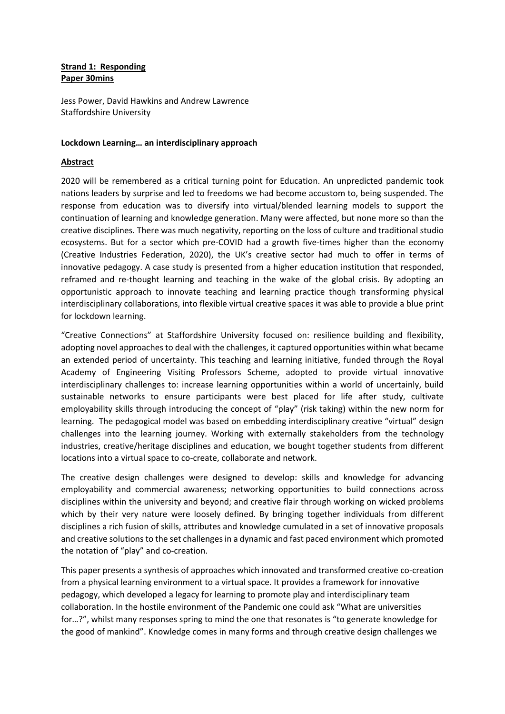## **Strand 1: Responding Paper 30mins**

Jess Power, David Hawkins and Andrew Lawrence Staffordshire University

## **Lockdown Learning… an interdisciplinary approach**

## **Abstract**

2020 will be remembered as a critical turning point for Education. An unpredicted pandemic took nations leaders by surprise and led to freedoms we had become accustom to, being suspended. The response from education was to diversify into virtual/blended learning models to support the continuation of learning and knowledge generation. Many were affected, but none more so than the creative disciplines. There was much negativity, reporting on the loss of culture and traditional studio ecosystems. But for a sector which pre-COVID had a growth five-times higher than the economy (Creative Industries Federation, 2020), the UK's creative sector had much to offer in terms of innovative pedagogy. A case study is presented from a higher education institution that responded, reframed and re-thought learning and teaching in the wake of the global crisis. By adopting an opportunistic approach to innovate teaching and learning practice though transforming physical interdisciplinary collaborations, into flexible virtual creative spaces it was able to provide a blue print for lockdown learning.

"Creative Connections" at Staffordshire University focused on: resilience building and flexibility, adopting novel approaches to deal with the challenges, it captured opportunities within what became an extended period of uncertainty. This teaching and learning initiative, funded through the Royal Academy of Engineering Visiting Professors Scheme, adopted to provide virtual innovative interdisciplinary challenges to: increase learning opportunities within a world of uncertainly, build sustainable networks to ensure participants were best placed for life after study, cultivate employability skills through introducing the concept of "play" (risk taking) within the new norm for learning. The pedagogical model was based on embedding interdisciplinary creative "virtual" design challenges into the learning journey. Working with externally stakeholders from the technology industries, creative/heritage disciplines and education, we bought together students from different locations into a virtual space to co-create, collaborate and network.

The creative design challenges were designed to develop: skills and knowledge for advancing employability and commercial awareness; networking opportunities to build connections across disciplines within the university and beyond; and creative flair through working on wicked problems which by their very nature were loosely defined. By bringing together individuals from different disciplines a rich fusion of skills, attributes and knowledge cumulated in a set of innovative proposals and creative solutions to the set challenges in a dynamic and fast paced environment which promoted the notation of "play" and co-creation.

This paper presents a synthesis of approaches which innovated and transformed creative co-creation from a physical learning environment to a virtual space. It provides a framework for innovative pedagogy, which developed a legacy for learning to promote play and interdisciplinary team collaboration. In the hostile environment of the Pandemic one could ask "What are universities for…?", whilst many responses spring to mind the one that resonates is "to generate knowledge for the good of mankind". Knowledge comes in many forms and through creative design challenges we